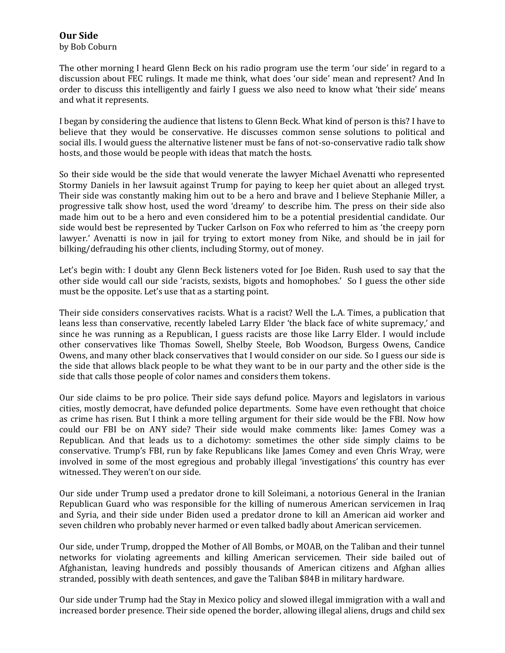## **Our Side**

by Bob Coburn

The other morning I heard Glenn Beck on his radio program use the term 'our side' in regard to a discussion about FEC rulings. It made me think, what does 'our side' mean and represent? And In order to discuss this intelligently and fairly I guess we also need to know what 'their side' means and what it represents.

I began by considering the audience that listens to Glenn Beck. What kind of person is this? I have to believe that they would be conservative. He discusses common sense solutions to political and social ills. I would guess the alternative listener must be fans of not-so-conservative radio talk show hosts, and those would be people with ideas that match the hosts.

So their side would be the side that would venerate the lawyer Michael Avenatti who represented Stormy Daniels in her lawsuit against Trump for paying to keep her quiet about an alleged tryst. Their side was constantly making him out to be a hero and brave and I believe Stephanie Miller, a progressive talk show host, used the word 'dreamy' to describe him. The press on their side also made him out to be a hero and even considered him to be a potential presidential candidate. Our side would best be represented by Tucker Carlson on Fox who referred to him as 'the creepy porn lawyer.' Avenatti is now in jail for trying to extort money from Nike, and should be in jail for bilking/defrauding his other clients, including Stormy, out of money.

Let's begin with: I doubt any Glenn Beck listeners voted for Joe Biden. Rush used to say that the other side would call our side 'racists, sexists, bigots and homophobes.' So I guess the other side must be the opposite. Let's use that as a starting point.

Their side considers conservatives racists. What is a racist? Well the L.A. Times, a publication that leans less than conservative, recently labeled Larry Elder 'the black face of white supremacy,' and since he was running as a Republican, I guess racists are those like Larry Elder. I would include other conservatives like Thomas Sowell, Shelby Steele, Bob Woodson, Burgess Owens, Candice Owens, and many other black conservatives that I would consider on our side. So I guess our side is the side that allows black people to be what they want to be in our party and the other side is the side that calls those people of color names and considers them tokens.

Our side claims to be pro police. Their side says defund police. Mayors and legislators in various cities, mostly democrat, have defunded police departments. Some have even rethought that choice as crime has risen. But I think a more telling argument for their side would be the FBI. Now how could our FBI be on ANY side? Their side would make comments like: James Comey was a Republican. And that leads us to a dichotomy: sometimes the other side simply claims to be conservative. Trump's FBI, run by fake Republicans like James Comey and even Chris Wray, were involved in some of the most egregious and probably illegal 'investigations' this country has ever witnessed. They weren't on our side.

Our side under Trump used a predator drone to kill Soleimani, a notorious General in the Iranian Republican Guard who was responsible for the killing of numerous American servicemen in Iraq and Syria, and their side under Biden used a predator drone to kill an American aid worker and seven children who probably never harmed or even talked badly about American servicemen.

Our side, under Trump, dropped the Mother of All Bombs, or MOAB, on the Taliban and their tunnel networks for violating agreements and killing American servicemen. Their side bailed out of Afghanistan, leaving hundreds and possibly thousands of American citizens and Afghan allies stranded, possibly with death sentences, and gave the Taliban \$84B in military hardware.

Our side under Trump had the Stay in Mexico policy and slowed illegal immigration with a wall and increased border presence. Their side opened the border, allowing illegal aliens, drugs and child sex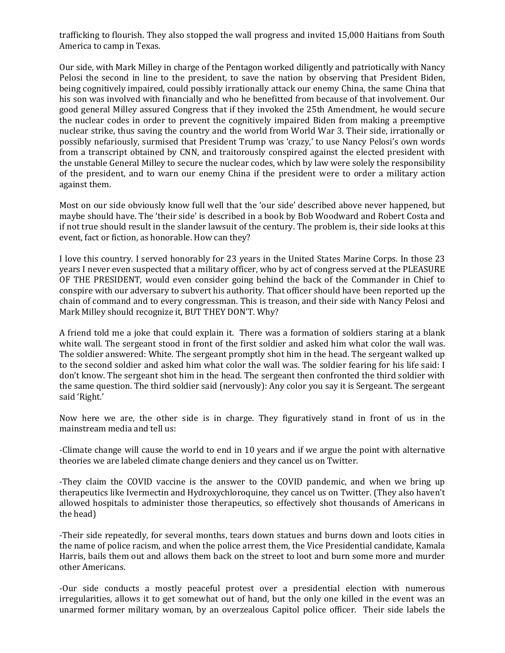trafficking to flourish. They also stopped the wall progress and invited 15,000 Haitians from South America to camp in Texas.

Our side, with Mark Milley in charge of the Pentagon worked diligently and patriotically with Nancy Pelosi the second in line to the president, to save the nation by observing that President Biden, being cognitively impaired, could possibly irrationally attack our enemy China, the same China that his son was involved with financially and who he benefitted from because of that involvement. Our good general Milley assured Congress that if they invoked the 25th Amendment, he would secure the nuclear codes in order to prevent the cognitively impaired Biden from making a preemptive nuclear strike, thus saving the country and the world from World War 3. Their side, irrationally or possibly nefariously, surmised that President Trump was 'crazy,' to use Nancy Pelosi's own words from a transcript obtained by CNN, and traitorously conspired against the elected president with the unstable General Milley to secure the nuclear codes, which by law were solely the responsibility of the president, and to warn our enemy China if the president were to order a military action against them.

Most on our side obviously know full well that the 'our side' described above never happened, but maybe should have. The 'their side' is described in a book by Bob Woodward and Robert Costa and if not true should result in the slander lawsuit of the century. The problem is, their side looks at this event, fact or fiction, as honorable. How can they?

I love this country. I served honorably for 23 years in the United States Marine Corps. In those 23 years I never even suspected that a military officer, who by act of congress served at the PLEASURE OF THE PRESIDENT, would even consider going behind the back of the Commander in Chief to conspire with our adversary to subvert his authority. That officer should have been reported up the chain of command and to every congressman. This is treason, and their side with Nancy Pelosi and Mark Milley should recognize it, BUT THEY DON'T. Why?

A friend told me a joke that could explain it. There was a formation of soldiers staring at a blank white wall. The sergeant stood in front of the first soldier and asked him what color the wall was. The soldier answered: White. The sergeant promptly shot him in the head. The sergeant walked up to the second soldier and asked him what color the wall was. The soldier fearing for his life said: I don't know. The sergeant shot him in the head. The sergeant then confronted the third soldier with the same question. The third soldier said (nervously): Any color you say it is Sergeant. The sergeant said 'Right.'

Now here we are, the other side is in charge. They figuratively stand in front of us in the mainstream media and tell us:

-Climate change will cause the world to end in 10 years and if we argue the point with alternative theories we are labeled climate change deniers and they cancel us on Twitter.

-They claim the COVID vaccine is the answer to the COVID pandemic, and when we bring up therapeutics like Ivermectin and Hydroxychloroquine, they cancel us on Twitter. (They also haven't allowed hospitals to administer those therapeutics, so effectively shot thousands of Americans in the head)

-Their side repeatedly, for several months, tears down statues and burns down and loots cities in the name of police racism, and when the police arrest them, the Vice Presidential candidate, Kamala Harris, bails them out and allows them back on the street to loot and burn some more and murder other Americans.

-Our side conducts a mostly peaceful protest over a presidential election with numerous irregularities, allows it to get somewhat out of hand, but the only one killed in the event was an unarmed former military woman, by an overzealous Capitol police officer. Their side labels the